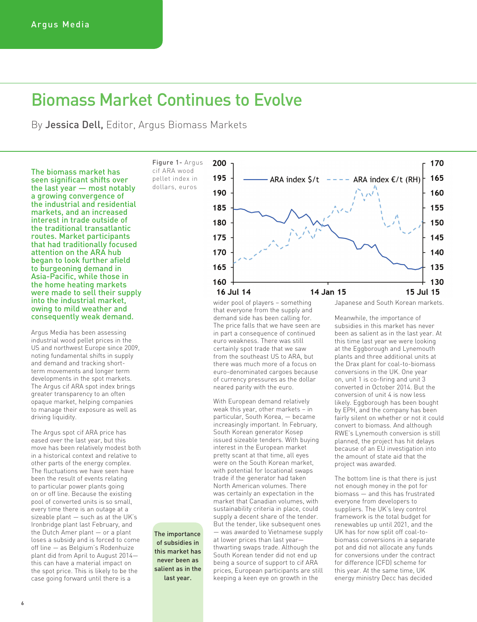## Biomass Market Continues to Evolve

By Jessica Dell, Editor, Argus Biomass Markets

The biomass market has seen significant shifts over the last year — most notably a growing convergence of the industrial and residential markets, and an increased interest in trade outside of the traditional transatlantic routes. Market participants that had traditionally focused attention on the ARA hub began to look further afield to burgeoning demand in Asia-Pacific, while those in the home heating markets were made to sell their supply into the industrial market, owing to mild weather and consequently weak demand.

Argus Media has been assessing industrial wood pellet prices in the US and northwest Europe since 2009, noting fundamental shifts in supply and demand and tracking shortterm movements and longer term developments in the spot markets. The Argus cif ARA spot index brings greater transparency to an often opaque market, helping companies to manage their exposure as well as driving liquidity.

The Argus spot cif ARA price has eased over the last year, but this move has been relatively modest both in a historical context and relative to other parts of the energy complex. The fluctuations we have seen have been the result of events relating to particular power plants going on or off line. Because the existing pool of converted units is so small, every time there is an outage at a sizeable plant — such as at the UK's Ironbridge plant last February, and the Dutch Amer plant — or a plant loses a subsidy and is forced to come off line — as Belgium's Rodenhuize plant did from April to August 2014 this can have a material impact on the spot price. This is likely to be the case going forward until there is a

Figure 1- Argus cif ARA wood pellet index in dollars, euros

The importance of subsidies in this market has never been as salient as in the last year.



wider pool of players – something that everyone from the supply and demand side has been calling for. The price falls that we have seen are in part a consequence of continued euro weakness. There was still certainly spot trade that we saw from the southeast US to ARA, but there was much more of a focus on euro-denominated cargoes because of currency pressures as the dollar neared parity with the euro.

With European demand relatively weak this year, other markets – in particular, South Korea, — became increasingly important. In February, South Korean generator Kosep issued sizeable tenders. With buying interest in the European market pretty scant at that time, all eyes were on the South Korean market, with potential for locational swaps trade if the generator had taken North American volumes. There was certainly an expectation in the market that Canadian volumes, with sustainability criteria in place, could supply a decent share of the tender. But the tender, like subsequent ones — was awarded to Vietnamese supply at lower prices than last year thwarting swaps trade. Although the South Korean tender did not end up being a source of support to cif ARA prices, European participants are still keeping a keen eye on growth in the

Japanese and South Korean markets.

Meanwhile, the importance of subsidies in this market has never been as salient as in the last year. At this time last year we were looking at the Eggborough and Lynemouth plants and three additional units at the Drax plant for coal-to-biomass conversions in the UK. One year on, unit 1 is co-firing and unit 3 converted in October 2014. But the conversion of unit 4 is now less likely. Eggborough has been bought by EPH, and the company has been fairly silent on whether or not it could convert to biomass. And although RWE's Lynemouth conversion is still planned, the project has hit delays because of an EU investigation into the amount of state aid that the project was awarded.

The bottom line is that there is just not enough money in the pot for biomass — and this has frustrated everyone from developers to suppliers. The UK's levy control framework is the total budget for renewables up until 2021, and the UK has for now split off coal-tobiomass conversions in a separate pot and did not allocate any funds for conversions under the contract for difference (CFD) scheme for this year. At the same time, UK energy ministry Decc has decided